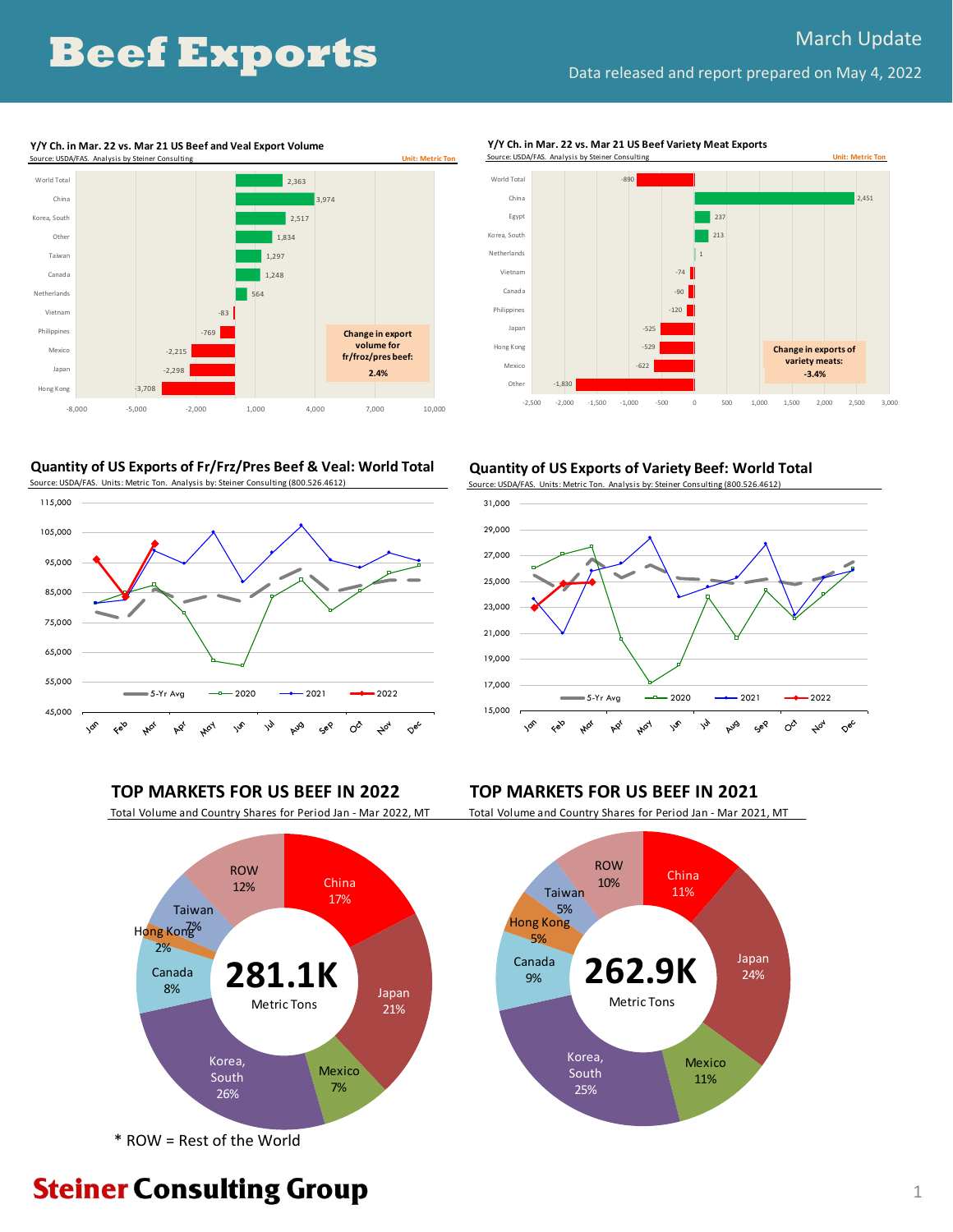# **Beef Exports**

2,451

**Change in exports of variety meats: ‐3.4%**



#### **Y/Y Ch. in Mar. 22 vs. Mar 21 US Beef and Veal Export Volume**

**Quantity of US Exports of Fr/Frz/Pres Beef & Veal: World Total** Source: USDA/FAS. Units: Metric Ton. Analysis by: Steiner Consulting (800.526.4612)



**Quantity of US Exports of Variety Beef: World Total**

‐622  $-529$ ‐525  $120 -$ ‐90 ‐74 1 213 237

‐2,500 ‐2,000 ‐1,500 ‐1,000 ‐500 0 500 1,000 1,500 2,000 2,500 3,000

**Y/Y Ch. in Mar. 22 vs. Mar 21 US Beef Variety Meat Exports**

‐890

Source: USDA/FAS. Analysis by St

‐1,830

Other Mexico Hong Kong Japan Philippines Canada Vietnam Netherlands Korea, South Egyp China World Total

Source: USDA/FAS. Units: Metric Ton. Analysis by: Steiner Consulting (800.526.4612)



Total Volume and Country Shares for Period Jan ‐ Mar 2022, MT Total Volume and Country Shares for Period Jan ‐ Mar 2021, MT



\* ROW = Rest of the World

**TOP MARKETS FOR US BEEF IN 2022 TOP MARKETS FOR US BEEF IN 2021**



# **Steiner Consulting Group**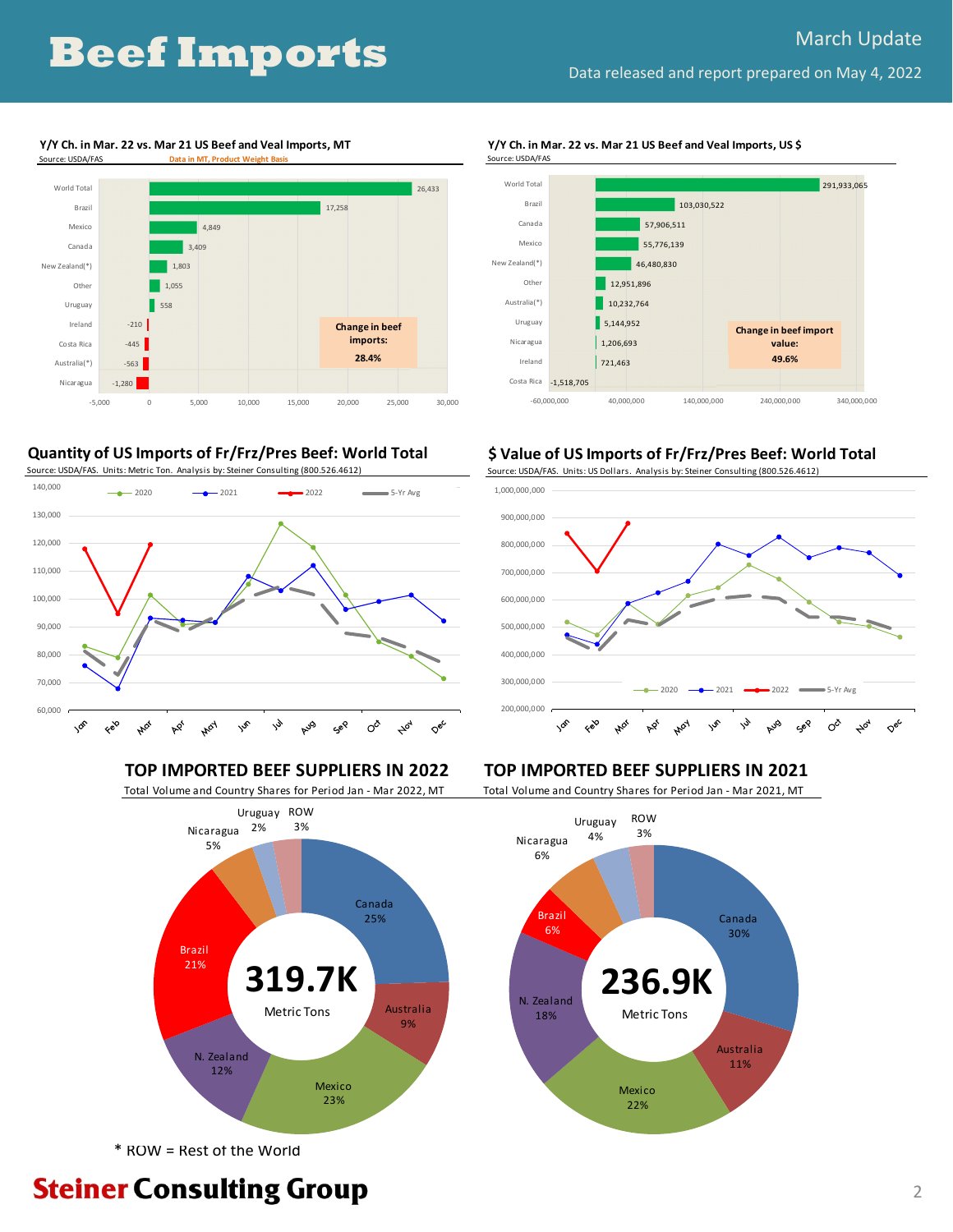### **Y/Y Ch. in Mar. 22 vs. Mar 21 US Beef and Veal Imports, MT** Source: USDA/FAS **Data in MT, Product Weight Basis**



## **Quantity of US Imports of Fr/Frz/Pres Beef: World Total**

Source: USDA/FAS. Units: Metric Ton. Analysis by: Steiner Consulting (800.526.4612)



### **TOP IMPORTED BEEF SUPPLIERS IN 2022 TOP IMPORTED BEEF SUPPLIERS IN 2021**



\* ROW = Rest of the World

**Steiner Consulting Group** 

#### **Y/Y Ch. in Mar. 22 vs. Mar 21 US Beef and Veal Imports, US \$**



### **\$ Value of US Imports of Fr/Frz/Pres Beef: World Total**

Source: USDA/FAS. Units: US Dollars. Analysis by: Steiner Consulting (800.526.4612)



Total Volume and Country Shares for Period Jan ‐ Mar 2022, MT Total Volume and Country Shares for Period Jan ‐ Mar 2021, MT

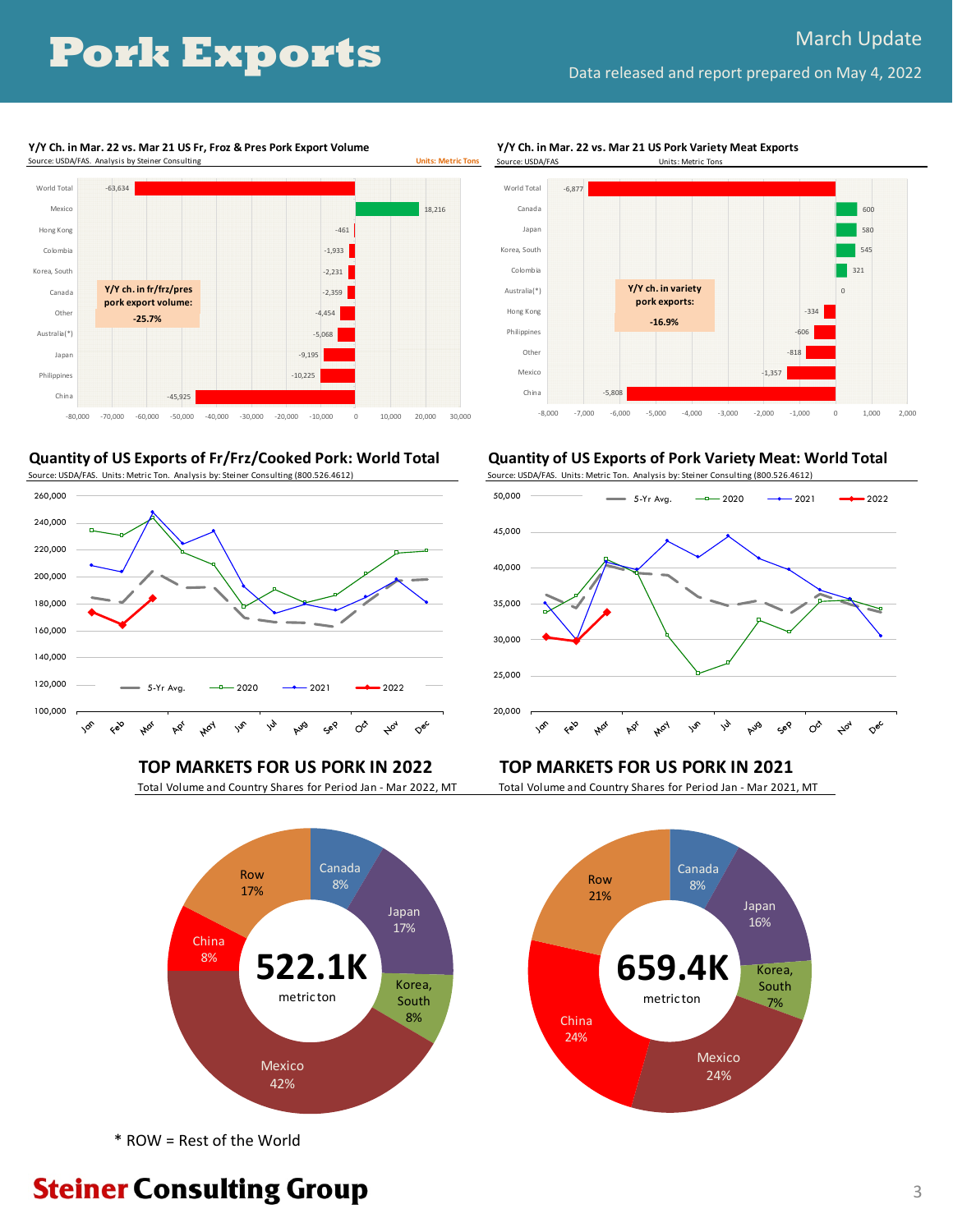**Y/Y Ch. in Mar. 22 vs. Mar 21 US Fr, Froz & Pres Pork Export Volume**



**Quantity of US Exports of Fr/Frz/Cooked Pork: World Total**





\* ROW = Rest of the World

**Y/Y Ch. in Mar. 22 vs. Mar 21 US Pork Variety Meat Exports**



**Quantity of US Exports of Pork Variety Meat: World Total**

Source: USDA/FAS. Units: Metric Ton. Analysis by: Steiner Consulting (800.526.4612)



### **TOP MARKETS FOR US PORK IN 2022 TOP MARKETS FOR US PORK IN 2021**

Total Volume and Country Shares for Period Jan ‐ Mar 2022, MT Total Volume and Country Shares for Period Jan ‐ Mar 2021, MT

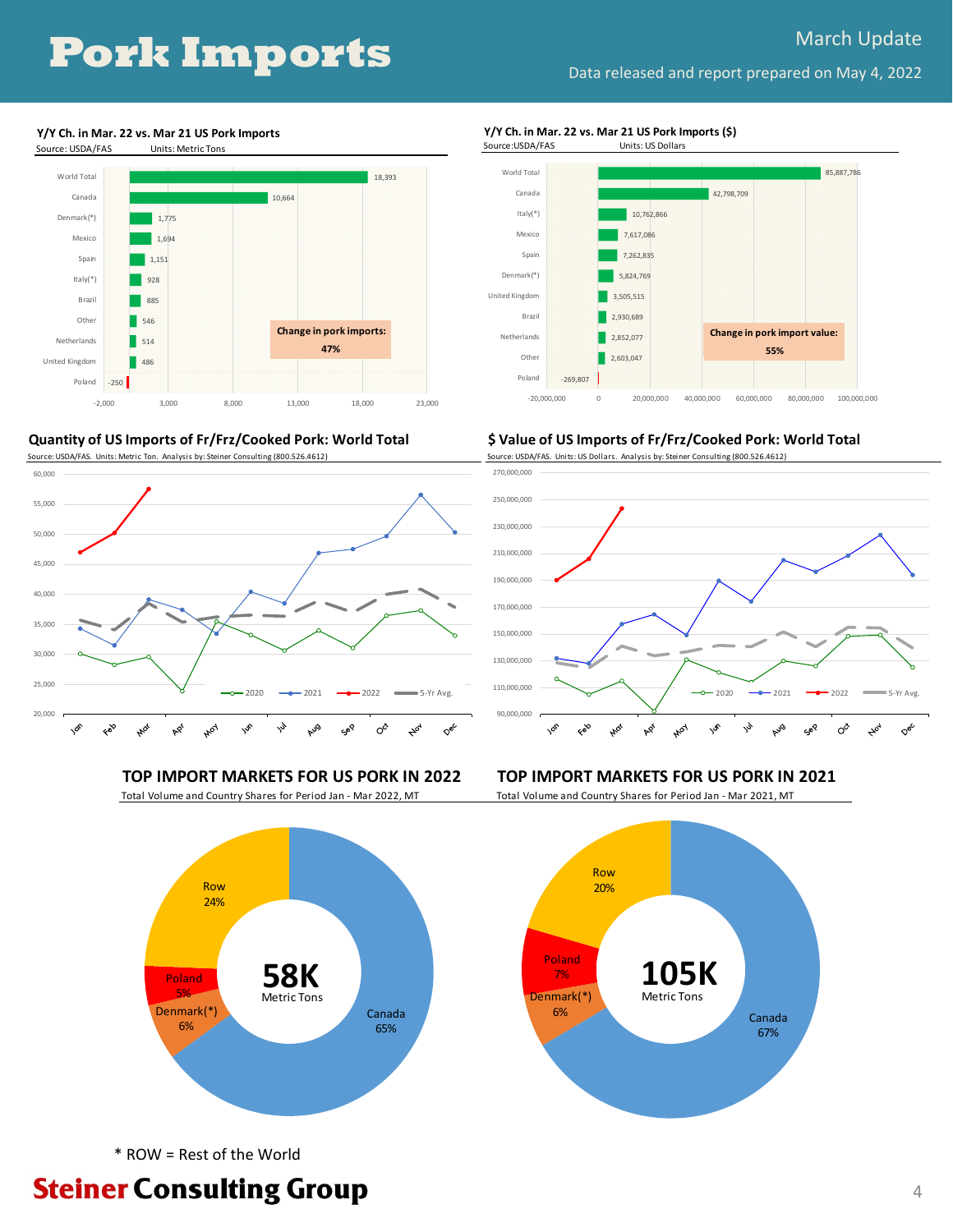**Y/Y Ch. in Mar. 22 vs. Mar 21 US Pork Imports** Source: USDA/FAS Units: Metric Tons



**Quantity of US Imports of Fr/Frz/Cooked Pork: World Total**





### **Y/Y Ch. in Mar. 22 vs. Mar 21 US Pork Imports (\$)**



#### **\$ Value of US Imports of Fr/Frz/Cooked Pork: World Total**

Source: USDA/FAS. Units: US Dollars. Analysis by: Steiner Consulting (800.526.4612)



#### **TOP IMPORT MARKETS FOR US PORK IN 2022 TOP IMPORT MARKETS FOR US PORK IN 2021**





Canada 65% Denmark(\*) 6% Poland 5% Row 24% Metric Tons

\* ROW = Rest of the World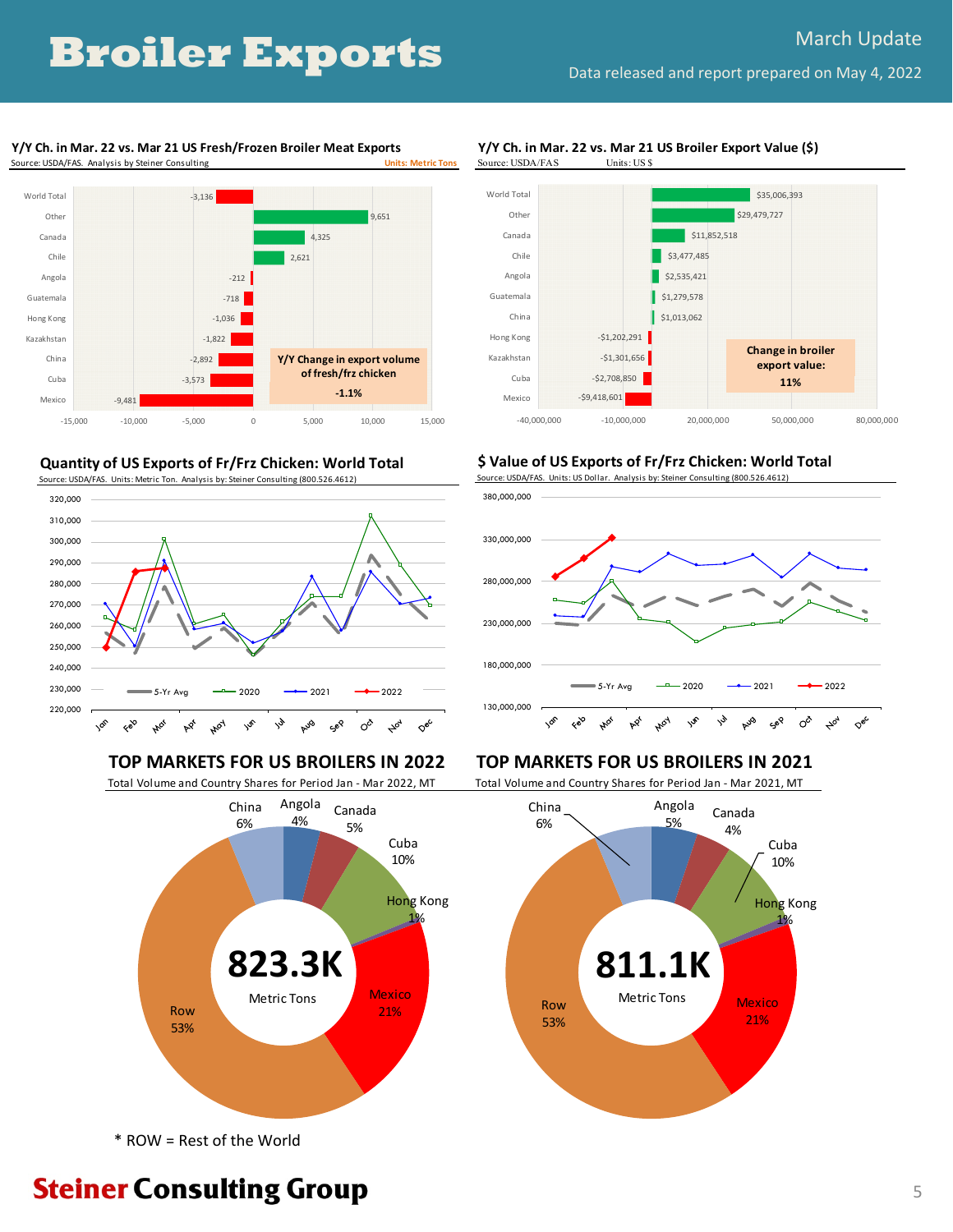# **Broiler Exports** Data released and report prepared on May 4, 2022

#### **Y/Y Ch. in Mar. 22 vs. Mar 21 US Fresh/Frozen Broiler Meat Exports Source: USDA/FAS. Analysis by Steiner Consulting**



#### **Quantity of US Exports of Fr/Frz Chicken: World Total**



Total Volume and Country Shares for Period Jan ‐ Mar 2022, MT Total Volume and Country Shares for Period Jan ‐ Mar 2021, MT



\* ROW = Rest of the World





### **\$ Value of US Exports of Fr/Frz Chicken: World Total**





### **TOP MARKETS FOR US BROILERS IN 2022 TOP MARKETS FOR US BROILERS IN 2021**



**Steiner Consulting Group**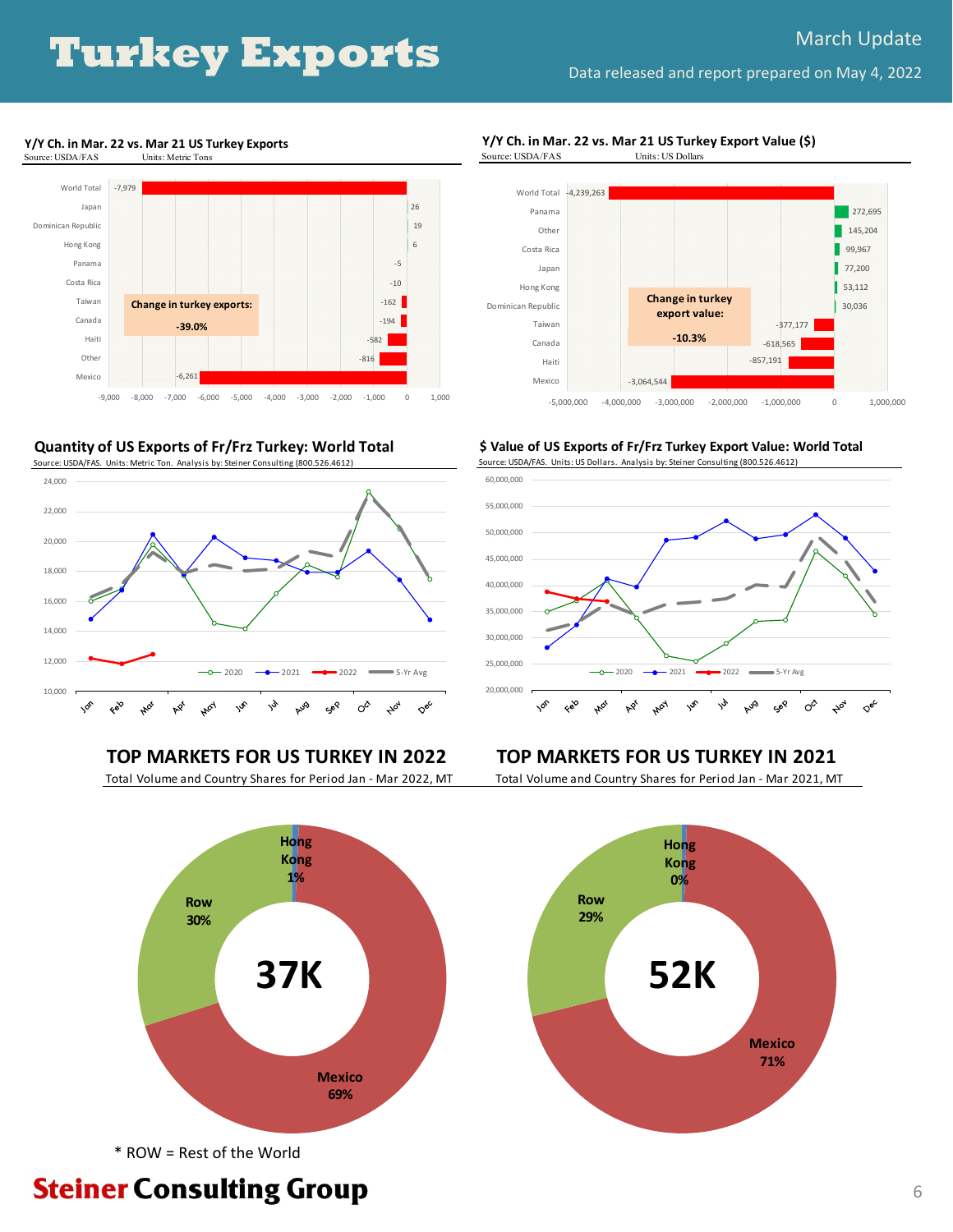#### **Y/Y Ch. in Mar. 22 vs. Mar 21 US Turkey Exports**





**Quantity of US Exports of Fr/Frz Turkey: World Total**

Source: USDA/FAS. Units: Metric Ton. Analysis by: Steiner Consulting (800.526.4612)







**\$ Value of US Exports of Fr/Frz Turkey Export Value: World Total** Source: USDA/FAS. Units: US Dollars. Analysis by: Steiner Consulting (800.526.4612)



### **TOP MARKETS FOR US TURKEY IN 2022 TOP MARKETS FOR US TURKEY IN 2021**

Total Volume and Country Shares for Period Jan ‐ Mar 2022, MT Total Volume and Country Shares for Period Jan ‐ Mar 2021, MT





\* ROW = Rest of the World

# **Steiner Consulting Group**